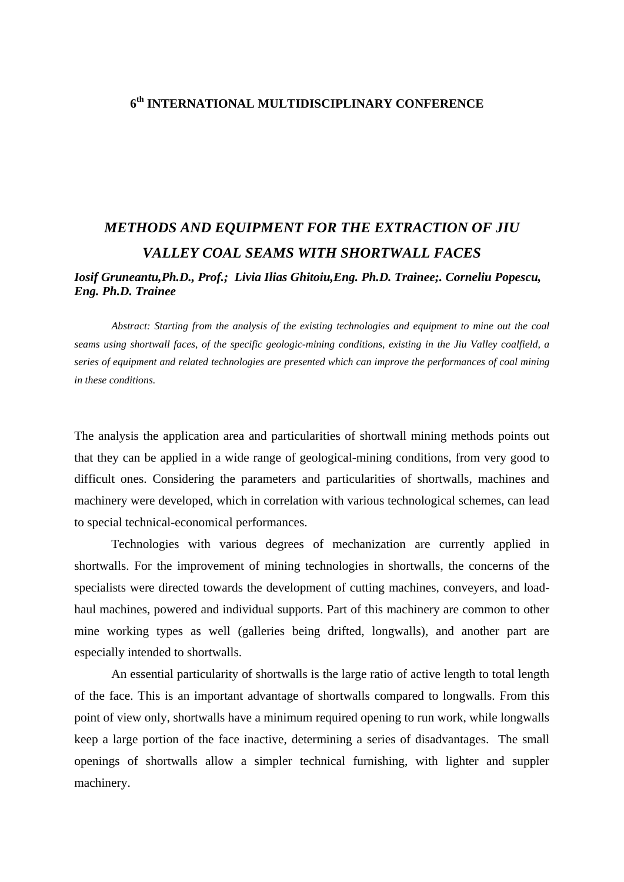## **6th INTERNATIONAL MULTIDISCIPLINARY CONFERENCE**

## *METHODS AND EQUIPMENT FOR THE EXTRACTION OF JIU VALLEY COAL SEAMS WITH SHORTWALL FACES*

## *Iosif Gruneantu,Ph.D., Prof.; Livia Ilias Ghitoiu,Eng. Ph.D. Trainee;. Corneliu Popescu, Eng. Ph.D. Trainee*

*Abstract: Starting from the analysis of the existing technologies and equipment to mine out the coal seams using shortwall faces, of the specific geologic-mining conditions, existing in the Jiu Valley coalfield, a series of equipment and related technologies are presented which can improve the performances of coal mining in these conditions.* 

The analysis the application area and particularities of shortwall mining methods points out that they can be applied in a wide range of geological-mining conditions, from very good to difficult ones. Considering the parameters and particularities of shortwalls, machines and machinery were developed, which in correlation with various technological schemes, can lead to special technical-economical performances.

 Technologies with various degrees of mechanization are currently applied in shortwalls. For the improvement of mining technologies in shortwalls, the concerns of the specialists were directed towards the development of cutting machines, conveyers, and loadhaul machines, powered and individual supports. Part of this machinery are common to other mine working types as well (galleries being drifted, longwalls), and another part are especially intended to shortwalls.

An essential particularity of shortwalls is the large ratio of active length to total length of the face. This is an important advantage of shortwalls compared to longwalls. From this point of view only, shortwalls have a minimum required opening to run work, while longwalls keep a large portion of the face inactive, determining a series of disadvantages. The small openings of shortwalls allow a simpler technical furnishing, with lighter and suppler machinery.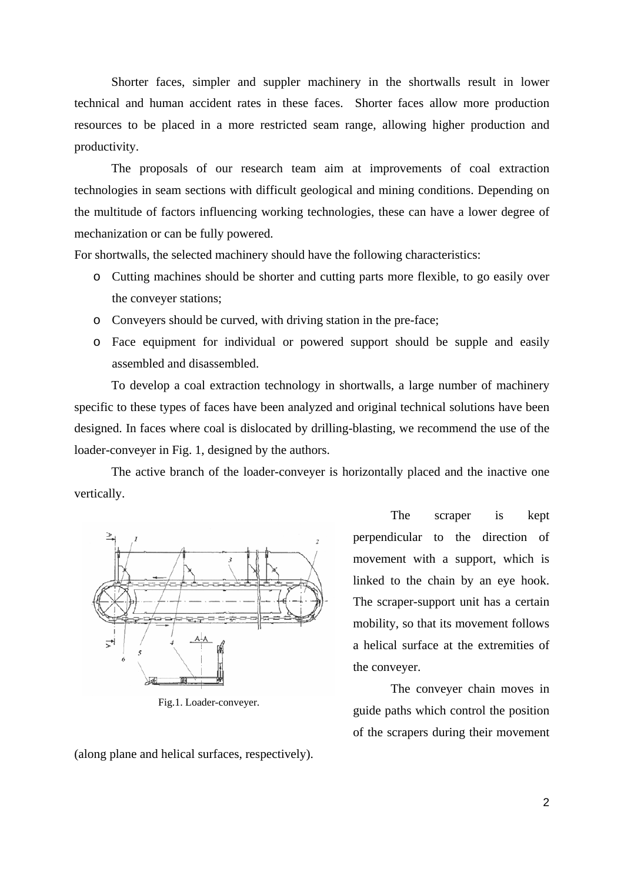Shorter faces, simpler and suppler machinery in the shortwalls result in lower technical and human accident rates in these faces. Shorter faces allow more production resources to be placed in a more restricted seam range, allowing higher production and productivity.

The proposals of our research team aim at improvements of coal extraction technologies in seam sections with difficult geological and mining conditions. Depending on the multitude of factors influencing working technologies, these can have a lower degree of mechanization or can be fully powered.

For shortwalls, the selected machinery should have the following characteristics:

- o Cutting machines should be shorter and cutting parts more flexible, to go easily over the conveyer stations;
- o Conveyers should be curved, with driving station in the pre-face;
- o Face equipment for individual or powered support should be supple and easily assembled and disassembled.

To develop a coal extraction technology in shortwalls, a large number of machinery specific to these types of faces have been analyzed and original technical solutions have been designed. In faces where coal is dislocated by drilling-blasting, we recommend the use of the loader-conveyer in Fig. 1, designed by the authors.

The active branch of the loader-conveyer is horizontally placed and the inactive one vertically.



Fig.1. Loader-conveyer.

(along plane and helical surfaces, respectively).

The scraper is kept perpendicular to the direction of movement with a support, which is linked to the chain by an eye hook. The scraper-support unit has a certain mobility, so that its movement follows a helical surface at the extremities of the conveyer.

The conveyer chain moves in guide paths which control the position of the scrapers during their movement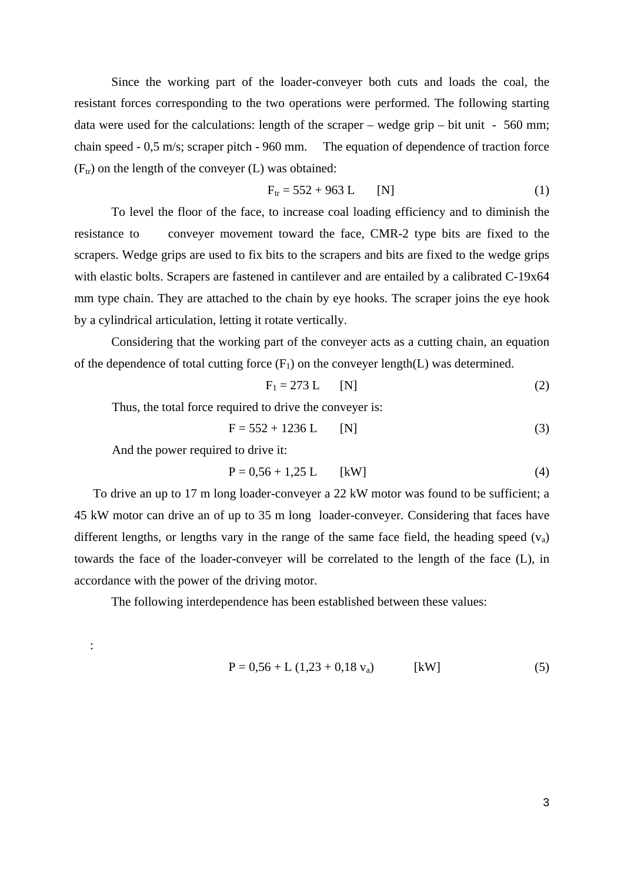Since the working part of the loader-conveyer both cuts and loads the coal, the resistant forces corresponding to the two operations were performed. The following starting data were used for the calculations: length of the scraper – wedge grip – bit unit -  $560$  mm; chain speed - 0,5 m/s; scraper pitch - 960 mm. The equation of dependence of traction force  $(F<sub>tr</sub>)$  on the length of the conveyer (L) was obtained:

$$
F_{tr} = 552 + 963 \text{ L} \qquad [N] \tag{1}
$$

 To level the floor of the face, to increase coal loading efficiency and to diminish the resistance to conveyer movement toward the face, CMR-2 type bits are fixed to the scrapers. Wedge grips are used to fix bits to the scrapers and bits are fixed to the wedge grips with elastic bolts. Scrapers are fastened in cantilever and are entailed by a calibrated C-19x64 mm type chain. They are attached to the chain by eye hooks. The scraper joins the eye hook by a cylindrical articulation, letting it rotate vertically.

 Considering that the working part of the conveyer acts as a cutting chain, an equation of the dependence of total cutting force  $(F_1)$  on the conveyer length(L) was determined.

$$
F_1 = 273 \text{ L} \qquad [N] \tag{2}
$$

Thus, the total force required to drive the conveyer is:

$$
F = 552 + 1236 L [N]
$$
 (3)

And the power required to drive it:

$$
P = 0.56 + 1.25 L [kW]
$$
 (4)

 To drive an up to 17 m long loader-conveyer a 22 kW motor was found to be sufficient; a 45 kW motor can drive an of up to 35 m long loader-conveyer. Considering that faces have different lengths, or lengths vary in the range of the same face field, the heading speed  $(v_a)$ towards the face of the loader-conveyer will be correlated to the length of the face (L), in accordance with the power of the driving motor.

The following interdependence has been established between these values:

:

$$
P = 0.56 + L (1.23 + 0.18 v_a)
$$
 [kW] (5)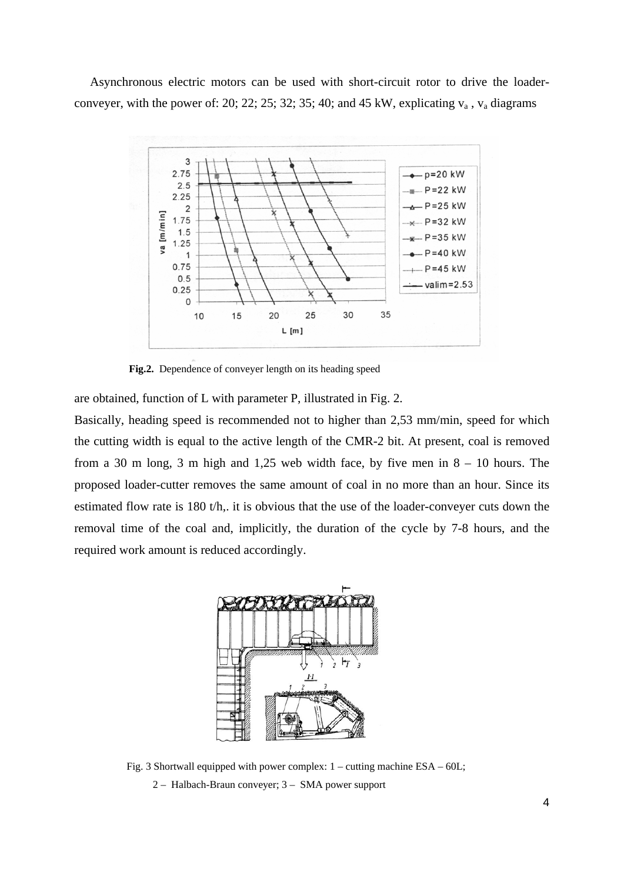Asynchronous electric motors can be used with short-circuit rotor to drive the loaderconveyer, with the power of: 20; 22; 25; 32; 35; 40; and 45 kW, explicating  $v_a$ ,  $v_a$  diagrams



**Fig.2.** Dependence of conveyer length on its heading speed

are obtained, function of L with parameter P, illustrated in Fig. 2.

Basically, heading speed is recommended not to higher than 2,53 mm/min, speed for which the cutting width is equal to the active length of the CMR-2 bit. At present, coal is removed from a 30 m long, 3 m high and 1,25 web width face, by five men in  $8 - 10$  hours. The proposed loader-cutter removes the same amount of coal in no more than an hour. Since its estimated flow rate is 180 t/h,. it is obvious that the use of the loader-conveyer cuts down the removal time of the coal and, implicitly, the duration of the cycle by 7-8 hours, and the required work amount is reduced accordingly.



Fig. 3 Shortwall equipped with power complex:  $1 -$  cutting machine ESA – 60L;

2 – Halbach-Braun conveyer; 3 – SMA power support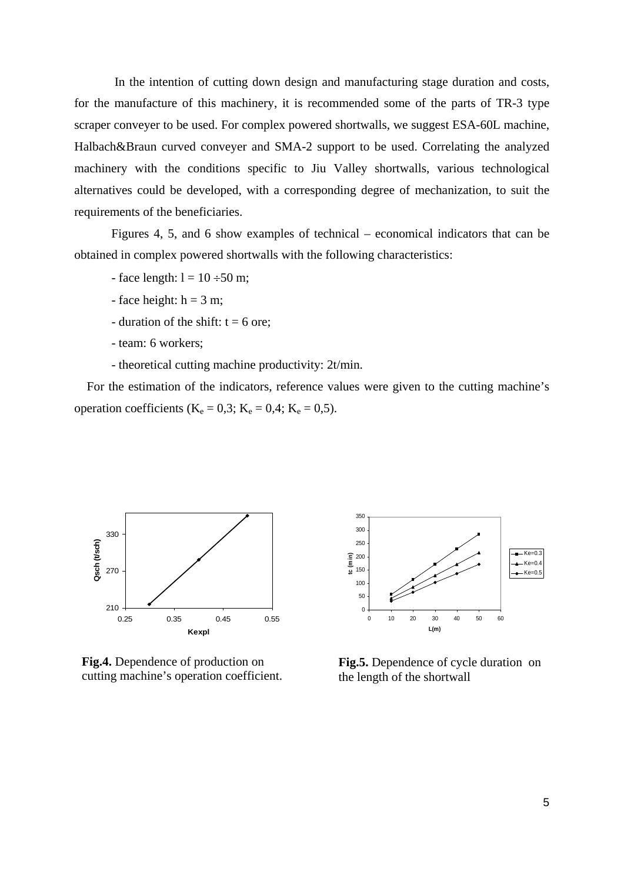In the intention of cutting down design and manufacturing stage duration and costs, for the manufacture of this machinery, it is recommended some of the parts of TR-3 type scraper conveyer to be used. For complex powered shortwalls, we suggest ESA-60L machine, Halbach&Braun curved conveyer and SMA-2 support to be used. Correlating the analyzed machinery with the conditions specific to Jiu Valley shortwalls, various technological alternatives could be developed, with a corresponding degree of mechanization, to suit the requirements of the beneficiaries.

Figures 4, 5, and 6 show examples of technical – economical indicators that can be obtained in complex powered shortwalls with the following characteristics:

- face length:  $l = 10 \div 50$  m;
- face height:  $h = 3$  m;
- duration of the shift:  $t = 6$  ore;
- team: 6 workers;
- theoretical cutting machine productivity: 2t/min.

 For the estimation of the indicators, reference values were given to the cutting machine's operation coefficients ( $K_e = 0.3$ ;  $K_e = 0.4$ ;  $K_e = 0.5$ ).



**Fig.4.** Dependence of production on cutting machine's operation coefficient.



**Fig.5.** Dependence of cycle duration on the length of the shortwall